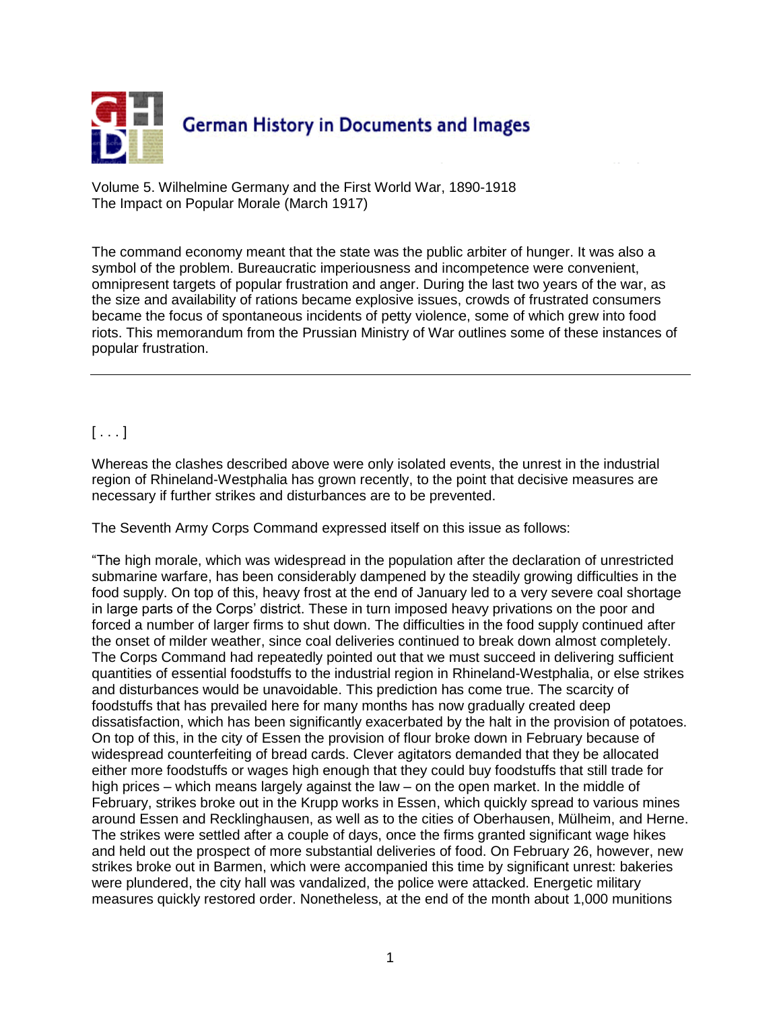

Volume 5. Wilhelmine Germany and the First World War, 1890-1918 The Impact on Popular Morale (March 1917)

The command economy meant that the state was the public arbiter of hunger. It was also a symbol of the problem. Bureaucratic imperiousness and incompetence were convenient, omnipresent targets of popular frustration and anger. During the last two years of the war, as the size and availability of rations became explosive issues, crowds of frustrated consumers became the focus of spontaneous incidents of petty violence, some of which grew into food riots. This memorandum from the Prussian Ministry of War outlines some of these instances of popular frustration.

## $[ \ldots ]$

Whereas the clashes described above were only isolated events, the unrest in the industrial region of Rhineland-Westphalia has grown recently, to the point that decisive measures are necessary if further strikes and disturbances are to be prevented.

The Seventh Army Corps Command expressed itself on this issue as follows:

"The high morale, which was widespread in the population after the declaration of unrestricted submarine warfare, has been considerably dampened by the steadily growing difficulties in the food supply. On top of this, heavy frost at the end of January led to a very severe coal shortage in large parts of the Corps' district. These in turn imposed heavy privations on the poor and forced a number of larger firms to shut down. The difficulties in the food supply continued after the onset of milder weather, since coal deliveries continued to break down almost completely. The Corps Command had repeatedly pointed out that we must succeed in delivering sufficient quantities of essential foodstuffs to the industrial region in Rhineland-Westphalia, or else strikes and disturbances would be unavoidable. This prediction has come true. The scarcity of foodstuffs that has prevailed here for many months has now gradually created deep dissatisfaction, which has been significantly exacerbated by the halt in the provision of potatoes. On top of this, in the city of Essen the provision of flour broke down in February because of widespread counterfeiting of bread cards. Clever agitators demanded that they be allocated either more foodstuffs or wages high enough that they could buy foodstuffs that still trade for high prices – which means largely against the law – on the open market. In the middle of February, strikes broke out in the Krupp works in Essen, which quickly spread to various mines around Essen and Recklinghausen, as well as to the cities of Oberhausen, Mülheim, and Herne. The strikes were settled after a couple of days, once the firms granted significant wage hikes and held out the prospect of more substantial deliveries of food. On February 26, however, new strikes broke out in Barmen, which were accompanied this time by significant unrest: bakeries were plundered, the city hall was vandalized, the police were attacked. Energetic military measures quickly restored order. Nonetheless, at the end of the month about 1,000 munitions